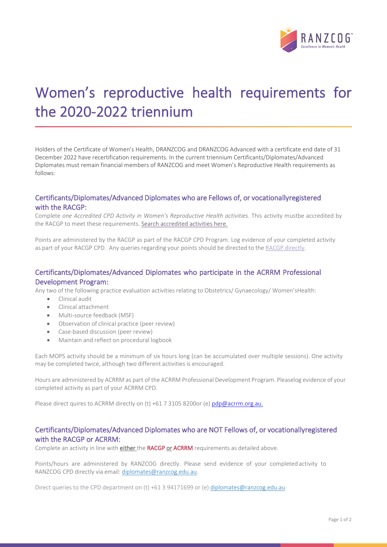

# Women's reproductive health requirements for the 2020-2022 triennium

Holders of the Certificate of Women's Health, DRANZCOG and DRANZCOG Advanced with a certificate end date of 31 December 2022 have recertification requirements. In the current triennium Certificants/Diplomates/Advanced Diplomates must remain financial members of RANZCOG and meet Women's Reproductive Health requirements as follows:

### Certificants/Diplomates/Advanced Diplomates who are Fellows of, or vocationally registered with the RACGP:

Complete *one Accredited CPD Activity in Women's Reproductive Health activities*. This activity mustbe accredited by the RACGP to meet these requirements[. Search accredited activities here.](https://www.racgp.org.au/education/courses/activitylist/)

Points are administered by the RACGP as part of the RACGP CPD Program. Log evidence of your completed activity as part of your RACGP CPD. Any queries regarding your points should be directed to the RACGP [directly.](mailto:cpd.national@racgp.org.au)

# Certificants/Diplomates/Advanced Diplomates who participate in the ACRRM Professional Development Program:

Any two of the following practice evaluation activities relating to Obstetrics/ Gynaecology/ Women'sHealth:

- Clinical audit
- Clinical attachment
- Multi-source feedback (MSF)
- Observation of clinical practice (peer review)
- Case-based discussion (peer review)
- Maintain and reflect on procedural logbook

Each MOPS activity should be a minimum of six hours long (can be accumulated over multiple sessions). One activity may be completed twice, although two different activities is encouraged.

Hours are administered by ACRRM as part of the ACRRM Professional Development Program. Pleaselog evidence of your completed activity as part of your ACRRM CPD.

Please direct quires to ACRRM directly on (t) +61 7 3105 8200or (e) [pdp@acrrm.org.au.](mailto:pdp@acrrm.org.au)

# Certificants/Diplomates/Advanced Diplomates who are NOT Fellows of, or vocationally registered with the RACGP or ACRRM:

Complete an activity in line with either the RACGP or ACRRM requirements as detailed above.

Points/hours are administered by RANZCOG directly. Please send evidence of your completed activity to RANZCOG CPD directly via email: [diplomates@ranzcog.edu.au.](mailto:diplomates@ranzcog.edu.au)

Direct queries to the CPD department on (t) +61 3 94171699 or (e) [diplomates@ranzcog.edu.au](mailto:diplomates@ranzcog.edu.au)